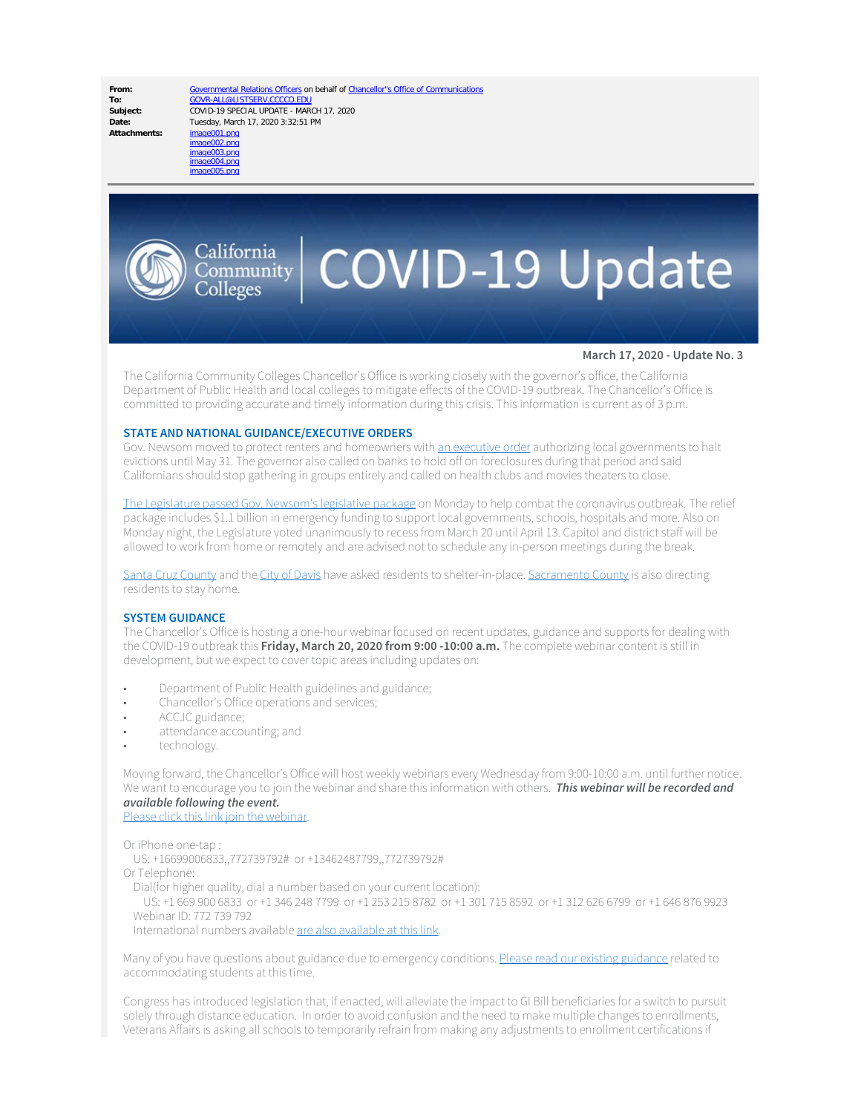Date: Tuesday, March 17, 2020 3:32:51 PM<br>Attachments: image001.png

**From:** [Governmental Relations Officers](mailto:GOVR-ALL@LISTSERV.CCCCO.EDU) on behalf of [Chancellor"s Office of Communications](mailto:Communications@CCCCO.EDU) To:<br> [GOVR-ALL@LISTSERV.CCCCO.EDU](mailto:GOVR-ALL@LISTSERV.CCCCO.EDU)<br>
COVID-19 SPECIAL UPDATE - MAR **Subject:** COVID-19 SPECIAL UPDATE - MARCH 17, 2020



# $\left| \mathrm{C}_{\mathrm{OInmunity}}^{\mathrm{California}} \right|$  COVID-19 Update

### **March 17, 2020 - Update No. 3**

The California Community Colleges Chancellor's Office is working closely with the governor's office, the California Department of Public Health and local colleges to mitigate effects of the COVID-19 outbreak. The Chancellor's Office is committed to providing accurate and timely information during this crisis. This information is current as of 3 p.m.

# **STATE AND NATIONAL GUIDANCE/EXECUTIVE ORDERS**

Gov. Newsom moved to protect renters and homeowners with [an executive order](https://www.gov.ca.gov/wp-content/uploads/2020/03/3.16.20-Executive-Order.pdf) authorizing local governments to halt evictions until May 31. The governor also called on banks to hold off on foreclosures during that period and said Californians should stop gathering in groups entirely and called on health clubs and movies theaters to close.

[The Legislature passed Gov. Newsom's legislative package](https://apnews.com/5e7be7d1b9c8bc3d44817001e04de05f) on Monday to help combat the coronavirus outbreak. The relief package includes \$1.1 billion in emergency funding to support local governments, schools, hospitals and more. Also on Monday night, the Legislature voted unanimously to recess from March 20 until April 13. Capitol and district staff will be allowed to work from home or remotely and are advised not to schedule any in-person meetings during the break.

[Santa Cruz County](https://www.santacruzhealth.org/HSAHome/HSADivisions/PublicHealth/CommunicableDiseaseControl/Coronavirus.aspx) and the [City of Davis](https://www.cityofdavis.org/Home/Components/News/News/5940/2985?backlist=%2fhome) have asked residents to shelter-in-place. [Sacramento County](https://www.saccounty.net/COVID-19/Pages/default.aspx) is also directing residents to stay home.

# **SYSTEM GUIDANCE**

The Chancellor's Office is hosting a one-hour webinar focused on recent updates, guidance and supports for dealing with the COVID-19 outbreak this **Friday, March 20, 2020 from 9:00 -10:00 a.m.** The complete webinar content is still in development, but we expect to cover topic areas including updates on:

- Department of Public Health guidelines and guidance;
- Chancellor's Office operations and services;
- ACCJC guidance;
- attendance accounting; and
- technology.

Moving forward, the Chancellor's Office will host weekly webinars every Wednesday from 9:00-10:00 a.m. until further notice. We want to encourage you to join the webinar and share this information with others. *This webinar will be recorded and available following the event.*

[Please click this link join the webinar](https://cccconfer.zoom.us/j/772739792).

Or iPhone one-tap :

US: +16699006833,,772739792# or +13462487799,,772739792#

Or Telephone:

Dial(for higher quality, dial a number based on your current location):

 US: +1 669 900 6833 or +1 346 248 7799 or +1 253 215 8782 or +1 301 715 8592 or +1 312 626 6799 or +1 646 876 9923 Webinar ID: 772 739 792

International numbers available [are also available at this link.](https://cccconfer.zoom.us/u/acMmAT8h7Q)

Many of you have questions about guidance due to emergency conditions. [Please read our existing guidance](https://www.cccco.edu/-/media/CCCCO-Website/College-Finance-and-Facilities/Emergency-Preparedness/updated-emergency-conditions-oct2019-memo-a11y.pdf?la=en&hash=3329D3FDD416A7C83EFAEBCAD22DAFC16AA8BECD) related to accommodating students at this time.

Congress has introduced legislation that, if enacted, will alleviate the impact to GI Bill beneficiaries for a switch to pursuit solely through distance education. In order to avoid confusion and the need to make multiple changes to enrollments, Veterans Affairs is asking all schools to temporarily refrain from making any adjustments to enrollment certifications if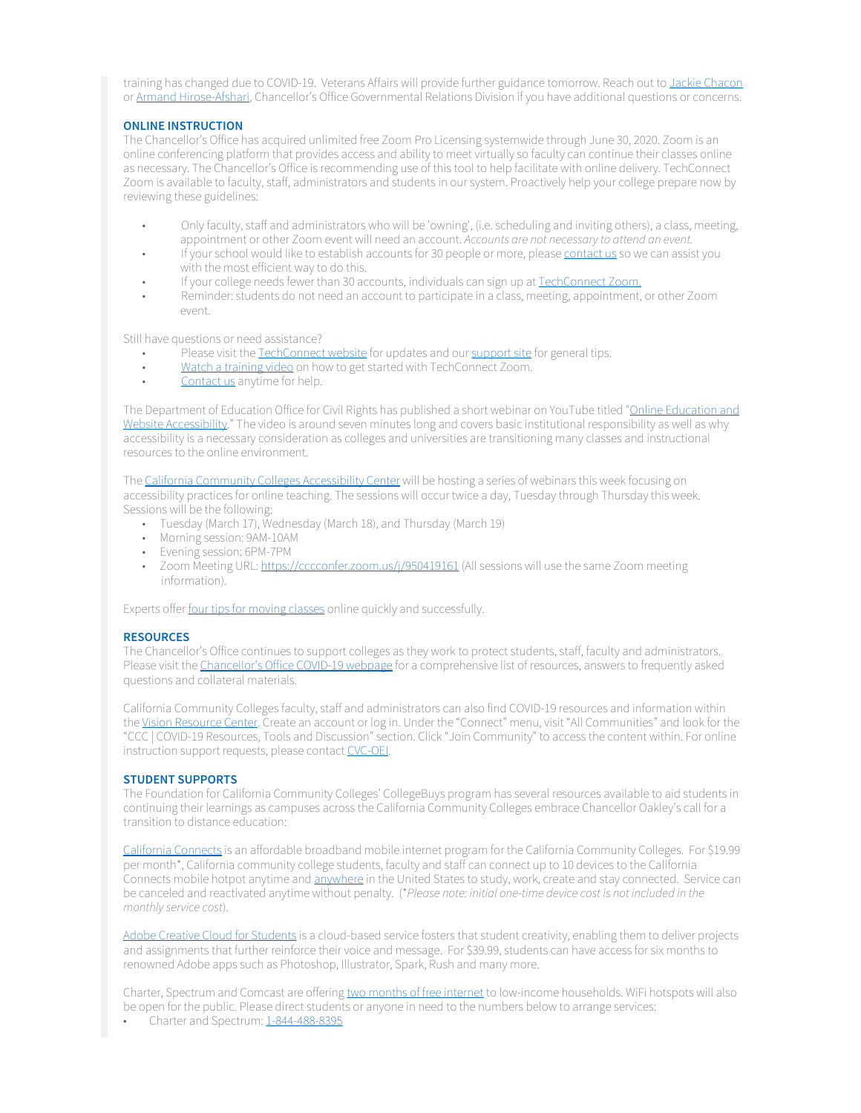training has changed due to COVID-19. Veterans Affairs will provide further guidance tomorrow. Reach out to Jackie [Chacon](mailto:veterans@cccco.edu) or [Armand Hirose-Afshari](mailto:ahiroseafshari@CCCCO.edu), Chancellor's Office Governmental Relations Division if you have additional questions or concerns.

# **ONLINE INSTRUCTION**

The Chancellor's Office has acquired unlimited free Zoom Pro Licensing systemwide through June 30, 2020. Zoom is an online conferencing platform that provides access and ability to meet virtually so faculty can continue their classes online as necessary. The Chancellor's Office is recommending use of this tool to help facilitate with online delivery. TechConnect Zoom is available to faculty, staff, administrators and students in our system. Proactively help your college prepare now by reviewing these guidelines:

- Only faculty, staff and administrators who will be 'owning', (i.e. scheduling and inviting others), a class, meeting, appointment or other Zoom event will need an account. *Accounts are not necessary to attend an event.*
- If your school would like to establish accounts for 30 people or more, please [contact us](https://bit.ly/38RnZck) so we can assist you with the most efficient way to do this.
- If your college needs fewer than 30 accounts, individuals can sign up at [TechConnect Zoom.](https://conferzoom.org/ConferZoom/SignUp)
- Reminder: students do not need an account to participate in a class, meeting, appointment, or other Zoom event.

Still have questions or need assistance?

- Please visit the [TechConnect website](http://www.ccctechconnect.org/) for updates and our [support site](https://ccctechconnect.zendesk.com/hc/en-us) for general tips.
- [Watch a training video](https://www.3cmediasolutions.org/privid/168582?key=9a14d59a7caf3ce48237504a66b3c450288f8a7c) on how to get started with TechConnect Zoom.
- [Contact us](mailto:support@ccctechconnect.org) anytime for help.

The Department of Education Office for Civil Rights has published a short webinar on YouTube titled ["Online Education and](https://youtu.be/DCMLk4cES6A) [Website Accessibility.](https://youtu.be/DCMLk4cES6A)" The video is around seven minutes long and covers basic institutional responsibility as well as why accessibility is a necessary consideration as colleges and universities are transitioning many classes and instructional resources to the online environment.

The [California Community Colleges Accessibility Center](https://cccaccessibility.org/) will be hosting a series of webinars this week focusing on accessibility practices for online teaching. The sessions will occur twice a day, Tuesday through Thursday this week. Sessions will be the following:

- Tuesday (March 17), Wednesday (March 18), and Thursday (March 19)
- Morning session: 9AM-10AM
- Evening session: 6PM-7PM
- Zoom Meeting URL: https://cccconfer.zoom.us/i/950419161 (All sessions will use the same Zoom meeting information).

Experts offer [four tips for moving classes](https://www.educationdive.com/news/finding-the-sweet-spot-4-tips-for-moving-classes-online-quickly/574124/) online quickly and successfully.

# **RESOURCES**

The Chancellor's Office continues to support colleges as they work to protect students, staff, faculty and administrators. Please visit the [Chancellor's Office COVID-19 webpage](https://www.cccco.edu/About-Us/Chancellors-Office/Divisions/Communications-and-Marketing/Novel-Coronavirus) for a comprehensive list of resources, answers to frequently asked questions and collateral materials.

California Community Colleges faculty, staff and administrators can also find COVID-19 resources and information within the [Vision Resource Center](https://visionresourcecenter.cccco.edu/). Create an account or log in. Under the "Connect" menu, visit "All Communities" and look for the "CCC | COVID-19 Resources, Tools and Discussion" section. Click "Join Community" to access the content within. For online instruction support requests, please contact [CVC-OEI](mailto:support@cvc.edu).

# **STUDENT SUPPORTS**

The Foundation for California Community Colleges' CollegeBuys program has several resources available to aid students in continuing their learnings as campuses across the California Community Colleges embrace Chancellor Oakley's call for a transition to distance education:

[California Connects](https://shop.collegebuys.org/articles/calconnects_landing.htm) is an affordable broadband mobile internet program for the California Community Colleges. For \$19.99 per month\*, California community college students, faculty and staff can connect up to 10 devices to the California Connects mobile hotpot anytime and [anywhere](https://coverage.sprint.com/) in the United States to study, work, create and stay connected. Service can be canceled and reactivated anytime without penalty. (\**Please note: initial one-time device cost is not included in the monthly service cost*).

[Adobe Creative Cloud for Students](https://shop.collegebuys.org/articles/ACC_Student39_Landing.htm) is a cloud-based service fosters that student creativity, enabling them to deliver projects and assignments that further reinforce their voice and message. For \$39.99, students can have access for six months to renowned Adobe apps such as Photoshop, Illustrator, Spark, Rush and many more.

Charter, Spectrum and Comcast are offering [two months of free internet](https://corporate.charter.com/newsroom/charter-to-offer-free-access-to-spectrum-broadband-and-wifi-for-60-days-for-new-K12-and-college-student-households-and-more) to low-income households. WiFi hotspots will also be open for the public. Please direct students or anyone in need to the numbers below to arrange services:

• Charter and Spectrum: [1-844-488-8395](tel:1-844-488-8395)